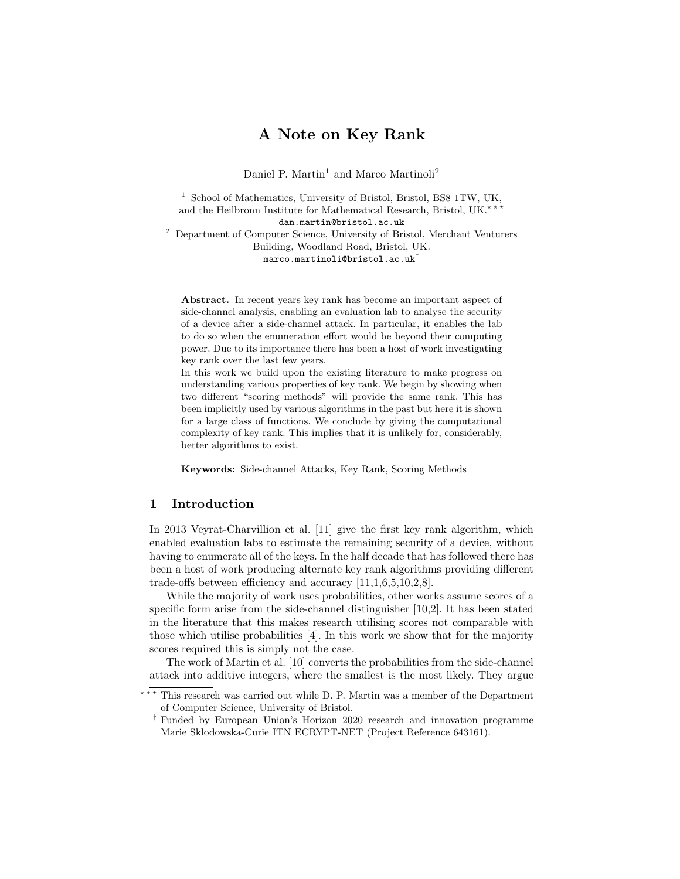# A Note on Key Rank

Daniel P. Martin<sup>1</sup> and Marco Martinoli<sup>2</sup>

<sup>1</sup> School of Mathematics, University of Bristol, Bristol, BS8 1TW, UK, and the Heilbronn Institute for Mathematical Research, Bristol, UK. $^{\star}$ dan.martin@bristol.ac.uk <sup>2</sup> Department of Computer Science, University of Bristol, Merchant Venturers Building, Woodland Road, Bristol, UK. marco.martinoli@bristol.ac.uk†

Abstract. In recent years key rank has become an important aspect of side-channel analysis, enabling an evaluation lab to analyse the security of a device after a side-channel attack. In particular, it enables the lab to do so when the enumeration effort would be beyond their computing power. Due to its importance there has been a host of work investigating key rank over the last few years.

In this work we build upon the existing literature to make progress on understanding various properties of key rank. We begin by showing when two different "scoring methods" will provide the same rank. This has been implicitly used by various algorithms in the past but here it is shown for a large class of functions. We conclude by giving the computational complexity of key rank. This implies that it is unlikely for, considerably, better algorithms to exist.

Keywords: Side-channel Attacks, Key Rank, Scoring Methods

## 1 Introduction

In 2013 Veyrat-Charvillion et al. [11] give the first key rank algorithm, which enabled evaluation labs to estimate the remaining security of a device, without having to enumerate all of the keys. In the half decade that has followed there has been a host of work producing alternate key rank algorithms providing different trade-offs between efficiency and accuracy [11,1,6,5,10,2,8].

While the majority of work uses probabilities, other works assume scores of a specific form arise from the side-channel distinguisher [10,2]. It has been stated in the literature that this makes research utilising scores not comparable with those which utilise probabilities [4]. In this work we show that for the majority scores required this is simply not the case.

The work of Martin et al. [10] converts the probabilities from the side-channel attack into additive integers, where the smallest is the most likely. They argue

<sup>\*\*\*</sup> This research was carried out while D. P. Martin was a member of the Department of Computer Science, University of Bristol.

<sup>†</sup> Funded by European Union's Horizon 2020 research and innovation programme Marie Sklodowska-Curie ITN ECRYPT-NET (Project Reference 643161).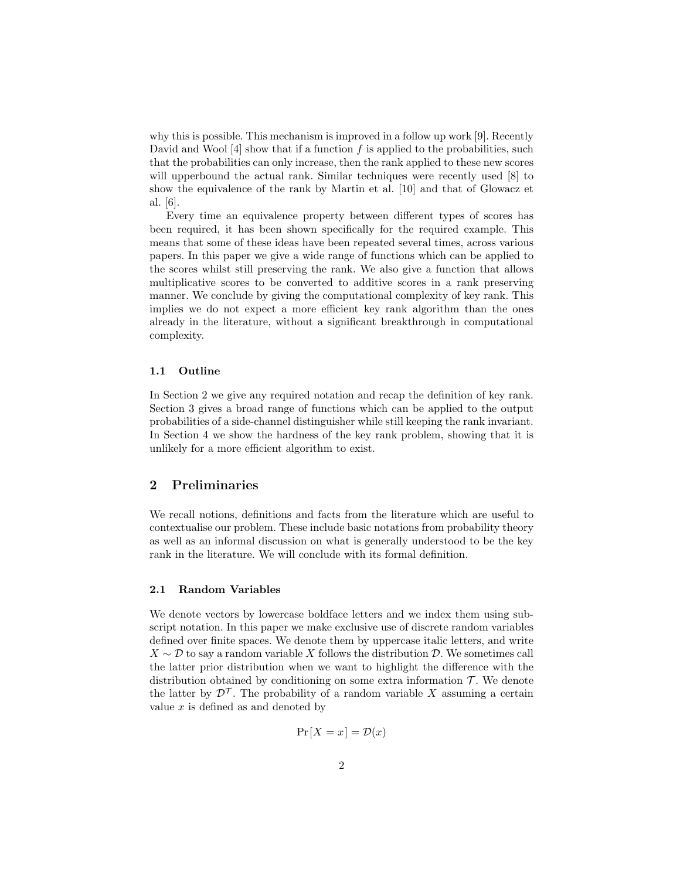why this is possible. This mechanism is improved in a follow up work [9]. Recently David and Wool  $[4]$  show that if a function f is applied to the probabilities, such that the probabilities can only increase, then the rank applied to these new scores will upperbound the actual rank. Similar techniques were recently used  $[8]$  to show the equivalence of the rank by Martin et al. [10] and that of Glowacz et al. [6].

Every time an equivalence property between different types of scores has been required, it has been shown specifically for the required example. This means that some of these ideas have been repeated several times, across various papers. In this paper we give a wide range of functions which can be applied to the scores whilst still preserving the rank. We also give a function that allows multiplicative scores to be converted to additive scores in a rank preserving manner. We conclude by giving the computational complexity of key rank. This implies we do not expect a more efficient key rank algorithm than the ones already in the literature, without a significant breakthrough in computational complexity.

#### 1.1 Outline

In Section 2 we give any required notation and recap the definition of key rank. Section 3 gives a broad range of functions which can be applied to the output probabilities of a side-channel distinguisher while still keeping the rank invariant. In Section 4 we show the hardness of the key rank problem, showing that it is unlikely for a more efficient algorithm to exist.

## 2 Preliminaries

We recall notions, definitions and facts from the literature which are useful to contextualise our problem. These include basic notations from probability theory as well as an informal discussion on what is generally understood to be the key rank in the literature. We will conclude with its formal definition.

#### 2.1 Random Variables

We denote vectors by lowercase boldface letters and we index them using subscript notation. In this paper we make exclusive use of discrete random variables defined over finite spaces. We denote them by uppercase italic letters, and write  $X \sim \mathcal{D}$  to say a random variable X follows the distribution  $\mathcal{D}$ . We sometimes call the latter prior distribution when we want to highlight the difference with the distribution obtained by conditioning on some extra information  $\mathcal{T}$ . We denote the latter by  $\mathcal{D}^{\mathcal{T}}$ . The probability of a random variable X assuming a certain value  $x$  is defined as and denoted by

$$
\Pr[X = x] = \mathcal{D}(x)
$$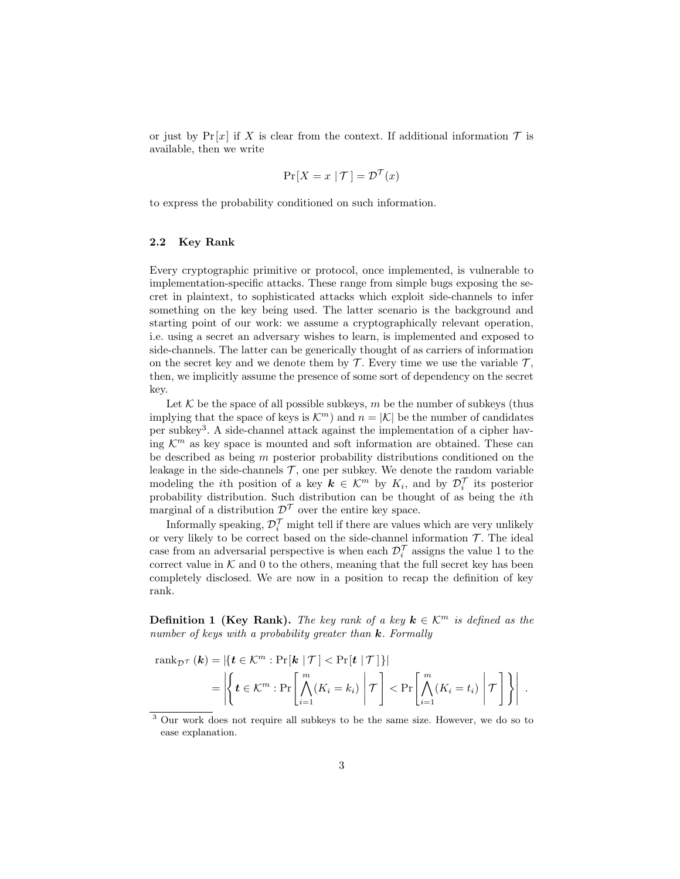or just by  $Pr[x]$  if X is clear from the context. If additional information T is available, then we write

$$
\Pr[X = x \mid \mathcal{T}] = \mathcal{D}^{\mathcal{T}}(x)
$$

to express the probability conditioned on such information.

#### 2.2 Key Rank

Every cryptographic primitive or protocol, once implemented, is vulnerable to implementation-specific attacks. These range from simple bugs exposing the secret in plaintext, to sophisticated attacks which exploit side-channels to infer something on the key being used. The latter scenario is the background and starting point of our work: we assume a cryptographically relevant operation, i.e. using a secret an adversary wishes to learn, is implemented and exposed to side-channels. The latter can be generically thought of as carriers of information on the secret key and we denote them by  $\mathcal T$ . Every time we use the variable  $\mathcal T$ , then, we implicitly assume the presence of some sort of dependency on the secret key.

Let  $K$  be the space of all possible subkeys, m be the number of subkeys (thus implying that the space of keys is  $\mathcal{K}^m$  and  $n = |\mathcal{K}|$  be the number of candidates per subkey<sup>3</sup> . A side-channel attack against the implementation of a cipher having  $\mathcal{K}^m$  as key space is mounted and soft information are obtained. These can be described as being m posterior probability distributions conditioned on the leakage in the side-channels  $\mathcal T$ , one per subkey. We denote the random variable modeling the *i*th position of a key  $k \in \mathcal{K}^m$  by  $K_i$ , and by  $\mathcal{D}_i^{\mathcal{T}}$  its posterior probability distribution. Such distribution can be thought of as being the ith marginal of a distribution  $\mathcal{D}^{\mathcal{T}}$  over the entire key space.

Informally speaking,  $\mathcal{D}_i^{\mathcal{T}}$  might tell if there are values which are very unlikely or very likely to be correct based on the side-channel information  $\mathcal T$ . The ideal case from an adversarial perspective is when each  $\mathcal{D}_i^{\mathcal{T}}$  assigns the value 1 to the correct value in  $K$  and 0 to the others, meaning that the full secret key has been completely disclosed. We are now in a position to recap the definition of key rank.

**Definition 1 (Key Rank).** The key rank of a key  $k \in \mathcal{K}^m$  is defined as the number of keys with a probability greater than  $k$ . Formally

$$
\operatorname{rank}_{\mathcal{D}^{\mathcal{T}}}(\mathbf{k}) = \left| \left\{ \mathbf{t} \in \mathcal{K}^m : \Pr[\mathbf{k} \mid \mathcal{T}] < \Pr[\mathbf{t} \mid \mathcal{T}] \right\} \right|
$$
\n
$$
= \left| \left\{ \mathbf{t} \in \mathcal{K}^m : \Pr\left[ \bigwedge_{i=1}^m (K_i = k_i) \middle| \mathcal{T} \right] < \Pr\left[ \bigwedge_{i=1}^m (K_i = t_i) \middle| \mathcal{T} \right] \right\} \right|.
$$

<sup>3</sup> Our work does not require all subkeys to be the same size. However, we do so to ease explanation.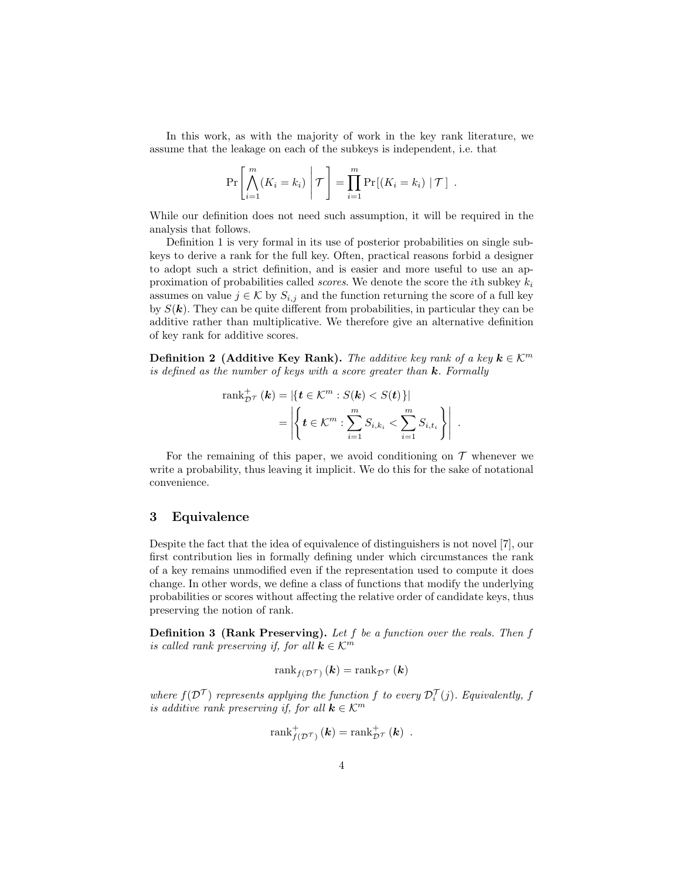In this work, as with the majority of work in the key rank literature, we assume that the leakage on each of the subkeys is independent, i.e. that

$$
\Pr\left[\bigwedge_{i=1}^m (K_i = k_i) \middle| \mathcal{T}\right] = \prod_{i=1}^m \Pr[(K_i = k_i) \mid \mathcal{T}] .
$$

While our definition does not need such assumption, it will be required in the analysis that follows.

Definition 1 is very formal in its use of posterior probabilities on single subkeys to derive a rank for the full key. Often, practical reasons forbid a designer to adopt such a strict definition, and is easier and more useful to use an approximation of probabilities called *scores*. We denote the score the *i*th subkey  $k_i$ assumes on value  $j \in \mathcal{K}$  by  $S_{i,j}$  and the function returning the score of a full key by  $S(\mathbf{k})$ . They can be quite different from probabilities, in particular they can be additive rather than multiplicative. We therefore give an alternative definition of key rank for additive scores.

**Definition 2** (Additive Key Rank). The additive key rank of a key  $k \in \mathbb{K}^m$ is defined as the number of keys with a score greater than  $k$ . Formally

$$
\operatorname{rank}_{\mathcal{D}^{\mathcal{T}}}^{\perp}(\mathbf{k}) = \left| \left\{ \mathbf{t} \in \mathcal{K}^m : S(\mathbf{k}) < S(\mathbf{t}) \right\} \right|
$$
\n
$$
= \left| \left\{ \mathbf{t} \in \mathcal{K}^m : \sum_{i=1}^m S_{i,k_i} < \sum_{i=1}^m S_{i,t_i} \right\} \right| \, .
$$

For the remaining of this paper, we avoid conditioning on  $\mathcal T$  whenever we write a probability, thus leaving it implicit. We do this for the sake of notational convenience.

#### 3 Equivalence

Despite the fact that the idea of equivalence of distinguishers is not novel [7], our first contribution lies in formally defining under which circumstances the rank of a key remains unmodified even if the representation used to compute it does change. In other words, we define a class of functions that modify the underlying probabilities or scores without affecting the relative order of candidate keys, thus preserving the notion of rank.

**Definition 3 (Rank Preserving).** Let  $f$  be a function over the reals. Then  $f$ is called rank preserving if, for all  $k \in \mathcal{K}^m$ 

$$
\operatorname{rank}_{f(\mathcal{D}^{\mathcal{T}})}(\mathbf{k}) = \operatorname{rank}_{\mathcal{D}^{\mathcal{T}}}(\mathbf{k})
$$

where  $f(\mathcal{D}^{\mathcal{T}})$  represents applying the function f to every  $\mathcal{D}_i^{\mathcal{T}}(j)$ . Equivalently, f is additive rank preserving if, for all  $k \in \mathcal{K}^m$ 

$$
\operatorname{rank}_{f(\mathcal{D}^{\mathcal{T}})}^{+}(\mathbf{k})=\operatorname{rank}_{\mathcal{D}^{\mathcal{T}}}^{+}(\mathbf{k})\enspace.
$$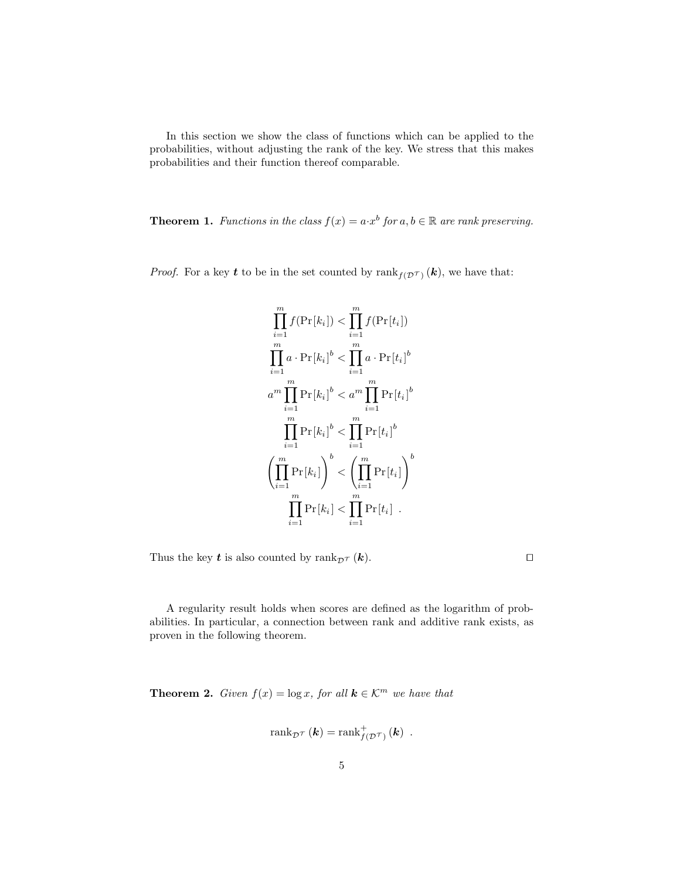In this section we show the class of functions which can be applied to the probabilities, without adjusting the rank of the key. We stress that this makes probabilities and their function thereof comparable.

**Theorem 1.** Functions in the class  $f(x) = a \cdot x^b$  for  $a, b \in \mathbb{R}$  are rank preserving.

*Proof.* For a key **t** to be in the set counted by  $\text{rank}_{f(\mathcal{D}^{\mathcal{T}})}(\mathbf{k})$ , we have that:

$$
\prod_{i=1}^{m} f(\Pr[k_i]) < \prod_{i=1}^{m} f(\Pr[t_i])
$$
\n
$$
\prod_{i=1}^{m} a \cdot \Pr[k_i]^b < \prod_{i=1}^{m} a \cdot \Pr[t_i]^b
$$
\n
$$
a^m \prod_{i=1}^{m} \Pr[k_i]^b < a^m \prod_{i=1}^{m} \Pr[t_i]^b
$$
\n
$$
\prod_{i=1}^{m} \Pr[k_i]^b < \prod_{i=1}^{m} \Pr[t_i]^b
$$
\n
$$
\left(\prod_{i=1}^{m} \Pr[k_i]\right)^b < \left(\prod_{i=1}^{m} \Pr[t_i]\right)^b
$$
\n
$$
\prod_{i=1}^{m} \Pr[k_i] < \prod_{i=1}^{m} \Pr[t_i].
$$

Thus the key  $t$  is also counted by  $\text{rank}_{\mathcal{D}^{\mathcal{T}}}(\mathbf{k})$ .

A regularity result holds when scores are defined as the logarithm of probabilities. In particular, a connection between rank and additive rank exists, as proven in the following theorem.

**Theorem 2.** Given  $f(x) = \log x$ , for all  $k \in \mathcal{K}^m$  we have that

$$
rank_{\mathcal{D}}\tau(\mathbf{k}) = rank_{f(\mathcal{D}}^{+}\tau)(\mathbf{k}) .
$$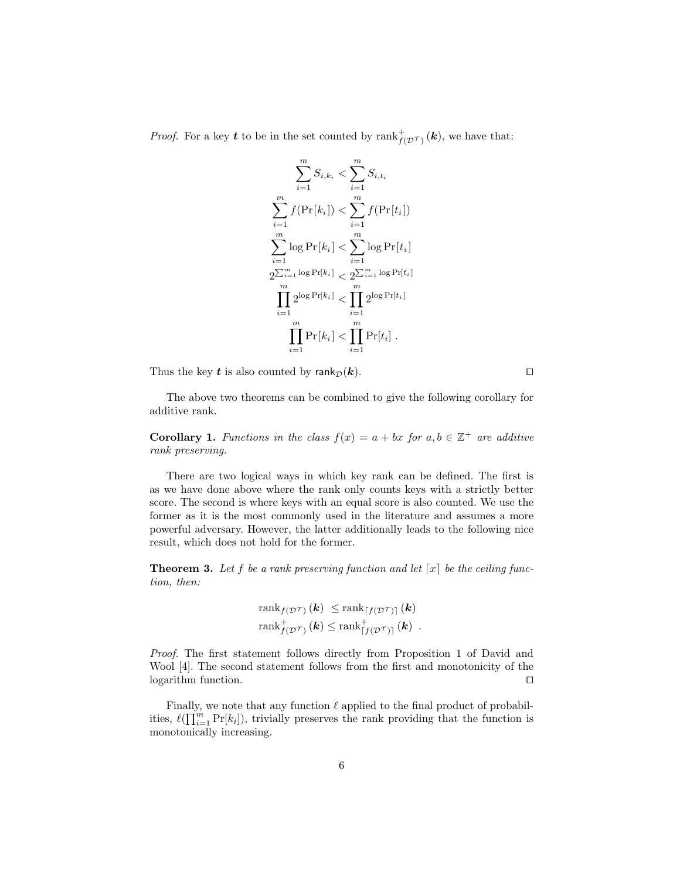*Proof.* For a key t to be in the set counted by  $\text{rank}_{f(D^{\mathcal{T}})}^{+}(\mathbf{k})$ , we have that:

$$
\sum_{i=1}^{m} S_{i,k_i} < \sum_{i=1}^{m} S_{i,t_i}
$$
\n
$$
\sum_{i=1}^{m} f(\Pr[k_i]) < \sum_{i=1}^{m} f(\Pr[t_i])
$$
\n
$$
\sum_{i=1}^{m} \log \Pr[k_i] < \sum_{i=1}^{m} \log \Pr[t_i]
$$
\n
$$
2^{\sum_{i=1}^{m} \log \Pr[k_i]} < 2^{\sum_{i=1}^{m} \log \Pr[t_i]}
$$
\n
$$
\prod_{i=1}^{m} 2^{\log \Pr[k_i]} < \prod_{i=1}^{m} 2^{\log \Pr[t_i]}
$$
\n
$$
\prod_{i=1}^{m} \Pr[k_i] < \prod_{i=1}^{m} \Pr[t_i].
$$

Thus the key t is also counted by  $\text{rank}_{\mathcal{D}}(\mathbf{k})$ .

The above two theorems can be combined to give the following corollary for additive rank.

**Corollary 1.** Functions in the class  $f(x) = a + bx$  for  $a, b \in \mathbb{Z}^+$  are additive rank preserving.

There are two logical ways in which key rank can be defined. The first is as we have done above where the rank only counts keys with a strictly better score. The second is where keys with an equal score is also counted. We use the former as it is the most commonly used in the literature and assumes a more powerful adversary. However, the latter additionally leads to the following nice result, which does not hold for the former.

**Theorem 3.** Let f be a rank preserving function and let  $\lceil x \rceil$  be the ceiling function, then:

$$
\mathrm{rank}_{f(\mathcal{D}^{\mathcal{T}})}\left(\boldsymbol{k}\right) \leq \mathrm{rank}_{\lceil f(\mathcal{D}^{\mathcal{T}})\rceil}\left(\boldsymbol{k}\right) \\ \mathrm{rank}_{f(\mathcal{D}^{\mathcal{T}})}^{+}\left(\boldsymbol{k}\right) \leq \mathrm{rank}_{\lceil f(\mathcal{D}^{\mathcal{T}})\rceil}^{+}\left(\boldsymbol{k}\right) \ .
$$

Proof. The first statement follows directly from Proposition 1 of David and Wool [4]. The second statement follows from the first and monotonicity of the  $logarithm$  function.  $\square$ 

Finally, we note that any function  $\ell$  applied to the final product of probabilities,  $\ell(\prod_{i=1}^m \Pr[k_i])$ , trivially preserves the rank providing that the function is monotonically increasing.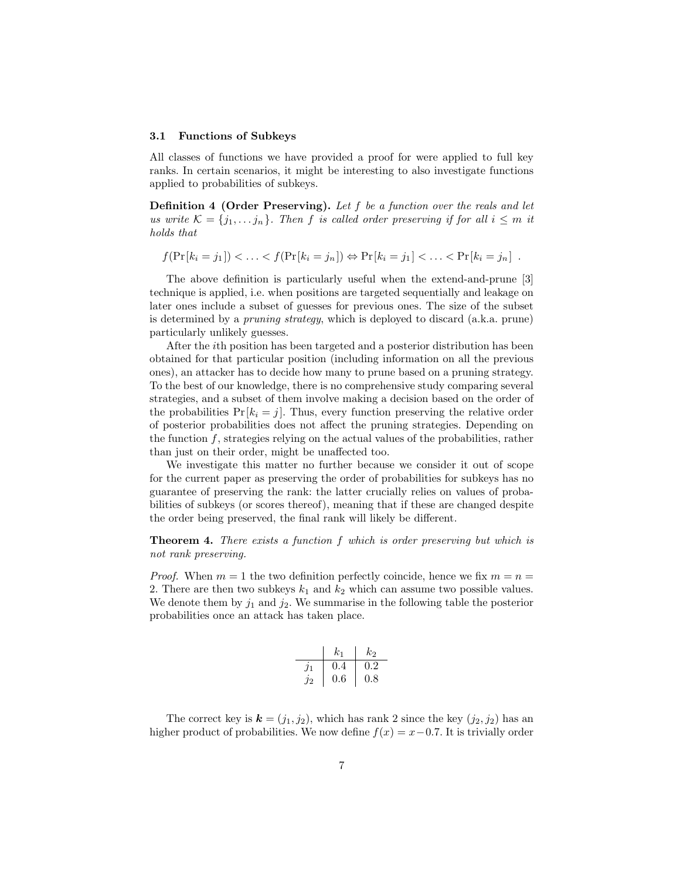#### 3.1 Functions of Subkeys

All classes of functions we have provided a proof for were applied to full key ranks. In certain scenarios, it might be interesting to also investigate functions applied to probabilities of subkeys.

Definition 4 (Order Preserving). Let f be a function over the reals and let us write  $\mathcal{K} = \{j_1, \ldots, j_n\}$ . Then f is called order preserving if for all  $i \leq m$  it holds that

$$
f(\Pr[k_i = j_1]) < ... < f(\Pr[k_i = j_n]) \Leftrightarrow \Pr[k_i = j_1] < ... < \Pr[k_i = j_n]
$$
.

The above definition is particularly useful when the extend-and-prune [3] technique is applied, i.e. when positions are targeted sequentially and leakage on later ones include a subset of guesses for previous ones. The size of the subset is determined by a pruning strategy, which is deployed to discard (a.k.a. prune) particularly unlikely guesses.

After the ith position has been targeted and a posterior distribution has been obtained for that particular position (including information on all the previous ones), an attacker has to decide how many to prune based on a pruning strategy. To the best of our knowledge, there is no comprehensive study comparing several strategies, and a subset of them involve making a decision based on the order of the probabilities  $Pr[k_i = j]$ . Thus, every function preserving the relative order of posterior probabilities does not affect the pruning strategies. Depending on the function  $f$ , strategies relying on the actual values of the probabilities, rather than just on their order, might be unaffected too.

We investigate this matter no further because we consider it out of scope for the current paper as preserving the order of probabilities for subkeys has no guarantee of preserving the rank: the latter crucially relies on values of probabilities of subkeys (or scores thereof), meaning that if these are changed despite the order being preserved, the final rank will likely be different.

**Theorem 4.** There exists a function f which is order preserving but which is not rank preserving.

*Proof.* When  $m = 1$  the two definition perfectly coincide, hence we fix  $m = n =$ 2. There are then two subkeys  $k_1$  and  $k_2$  which can assume two possible values. We denote them by  $j_1$  and  $j_2$ . We summarise in the following table the posterior probabilities once an attack has taken place.

|               | $k_{1}$ | k2      |
|---------------|---------|---------|
| $\jmath_1$    | 0.4     | $0.2\,$ |
| $\mathcal{L}$ | $0.6\,$ | 0.8     |

The correct key is  $\mathbf{k} = (j_1, j_2)$ , which has rank 2 since the key  $(j_2, j_2)$  has an higher product of probabilities. We now define  $f(x) = x - 0.7$ . It is trivially order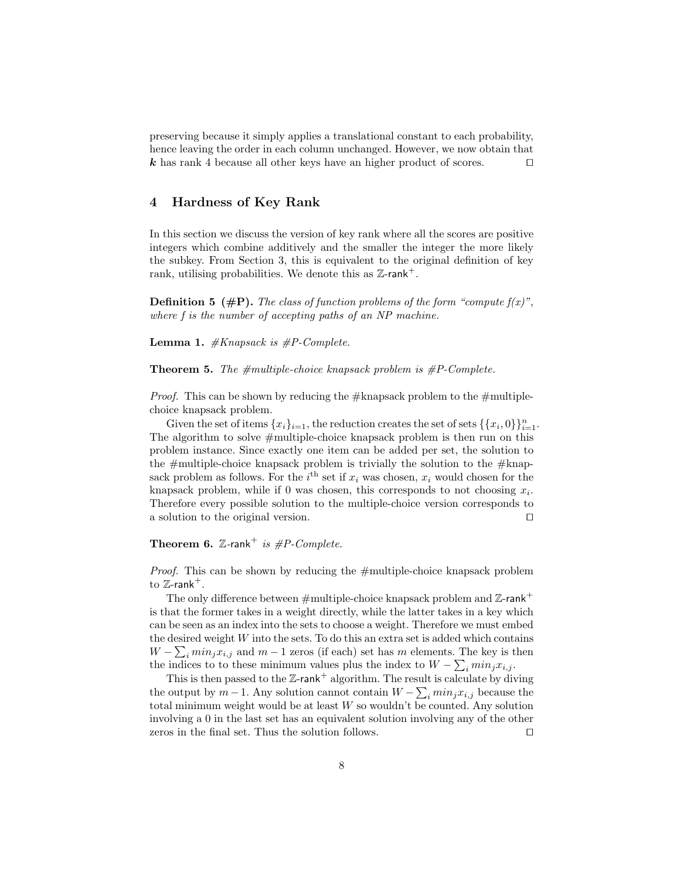preserving because it simply applies a translational constant to each probability, hence leaving the order in each column unchanged. However, we now obtain that k has rank 4 because all other keys have an higher product of scores.  $\Box$ 

## 4 Hardness of Key Rank

In this section we discuss the version of key rank where all the scores are positive integers which combine additively and the smaller the integer the more likely the subkey. From Section 3, this is equivalent to the original definition of key rank, utilising probabilities. We denote this as  $\mathbb{Z}$ -rank<sup>+</sup>.

**Definition 5** ( $\#P$ ). The class of function problems of the form "compute  $f(x)$ ", where f is the number of accepting paths of an NP machine.

**Lemma 1.**  $#Knapsack is  $#P\text{-}Complete$ .$ 

**Theorem 5.** The  $\#$ multiple-choice knapsack problem is  $\#P$ -Complete.

*Proof.* This can be shown by reducing the  $#$ knapsack problem to the  $#$ multiplechoice knapsack problem.

Given the set of items  ${x_i}_{i=1}$ , the reduction creates the set of sets  $\{\{x_i, 0\}\}_{i=1}^n$ . The algorithm to solve #multiple-choice knapsack problem is then run on this problem instance. Since exactly one item can be added per set, the solution to the  $\#$ multiple-choice knapsack problem is trivially the solution to the  $\#$ knapsack problem as follows. For the  $i<sup>th</sup>$  set if  $x<sub>i</sub>$  was chosen,  $x<sub>i</sub>$  would chosen for the knapsack problem, while if 0 was chosen, this corresponds to not choosing  $x_i$ . Therefore every possible solution to the multiple-choice version corresponds to a solution to the original version.  $\Box$ 

## **Theorem 6.** Z-rank<sup>+</sup> is  $\#P\text{-}Complete$ .

Proof. This can be shown by reducing the #multiple-choice knapsack problem to  $\mathbb{Z}$ -rank<sup>+</sup>.

The only difference between  $\#$ multiple-choice knapsack problem and  $\mathbb{Z}$ -rank<sup>+</sup> is that the former takes in a weight directly, while the latter takes in a key which can be seen as an index into the sets to choose a weight. Therefore we must embed the desired weight  $W$  into the sets. To do this an extra set is added which contains  $W - \sum_i min_j x_{i,j}$  and  $m-1$  zeros (if each) set has m elements. The key is then the indices to to these minimum values plus the index to  $W - \sum_i min_j x_{i,j}$ .

This is then passed to the  $\mathbb{Z}\text{-rank}^+$  algorithm. The result is calculate by diving the output by  $m-1$ . Any solution cannot contain  $W - \sum_i \min_j x_{i,j}$  because the total minimum weight would be at least  $W$  so wouldn't be counted. Any solution involving a 0 in the last set has an equivalent solution involving any of the other zeros in the final set. Thus the solution follows.  $\Box$